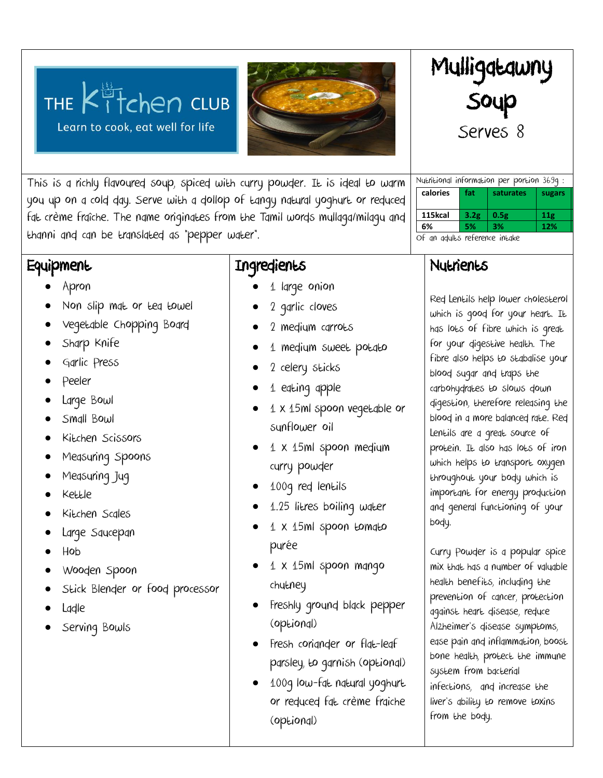# THE  $K^{\frac{15}{11}}$  club Learn to cook, eat well for life



Mulligatawny Soup Serves 8

Nutritional information per portion 369g : **calories fat saturates** sugars

**115kcal 3.2g 0.5g 11g 0.34g**

**6% 5% 3% 12% 6%**

This is a richly flavoured soup, spiced with curry powder. It is ideal to warm you up on a cold day. Serve with a dollop of tangy natural yoghurt or reduced fat crème fraîche. The name originates from the Tamil words mullaga/milagu and thanni and can be translated as "pepper water".

### **Equipment**

- Apron
- Non slip mat or tea towel
- Vegetable Chopping Board
- Sharp Knife
- Garlic Press
- Peeler
- Large Bowl
- Small Bowl
- Kitchen Scissors
- Measuring Spoons
- Measuring Jug
- Kettle
- Kitchen Scales
- Large Saucepan
- Hob
- Wooden Spoon
- Stick Blender or food processor
- Ladle
- Serving Bowls

## Ingredients

- 1 large onion
- 2 garlic cloves
- 2 medium carrots
- 1 medium sweet potato
- 2 celery sticks
- 1 eating apple
- 1 x 15ml spoon vegetable or sunflower oil
- $\bullet$  1 x 15ml spoon medium curry powder
- 100g red lentils
- 1.25 litres boiling water
- 1 x 15ml spoon tomato purée
- 1 x 15ml spoon mango chutney
- Freshly ground black pepper (optional)
- Fresh coriander or flat-leaf parsley, to garnish (optional)
- 100g low-fat natural yoghurt or reduced fat crème fraiche (optional)

| Nutrients |
|-----------|
|-----------|

Of an adults reference intake

Red Lentils help lower cholesterol which is good for your heart. It has lots of fibre which is great for your digestive health. The fibre also helps to stabalise your blood sugar and traps the carbohydrates to slows down digestion, therefore releasing the blood in a more balanced rate. Red Lentils are a great source of protein. It also has lots of iron which helps to transport oxygen throughout your body which is important for energy production and general functioning of your body.

Curry Powder is a popular [spice](https://www.organicfacts.net/health-benefits/herbs-and-spices/spices.html?utm_source=internal&utm_medium=link&utm_campaign=smartlinks) mix that has a number of valuable health benefits, including the prevention of [cancer,](https://www.organicfacts.net/home-remedies/home-remedies-for-cancer.html?utm_source=internal&utm_medium=link&utm_campaign=smartlinks) protection against heart disease, reduce Alzheimer's disease symptoms, ease pain and inflammation, boost bone health, protect the [immune](https://www.organicfacts.net/home-remedies/15-best-foods-to-boost-your-immune-system.html?utm_source=internal&utm_medium=link&utm_campaign=smartlinks)  [system](https://www.organicfacts.net/home-remedies/15-best-foods-to-boost-your-immune-system.html?utm_source=internal&utm_medium=link&utm_campaign=smartlinks) from bacterial infections, and increase the liver's ability to remove toxins from the body.